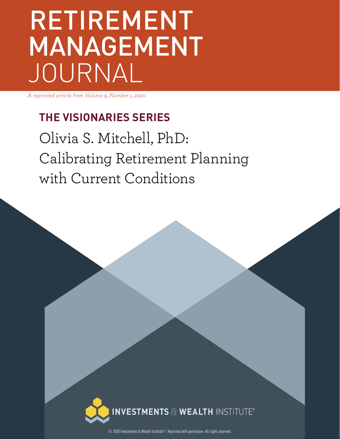# RETIREMENT MANAGEMENT JOURNAL

*A reprinted article from Volume 9, Number 1, 2020*

### **THE VISIONARIES SERIES**

Olivia S. Mitchell, PhD: Calibrating Retirement Planning with Current Conditions



© 2020 Investments & Wealth Institute®. Reprinted with permission. All rights reserved.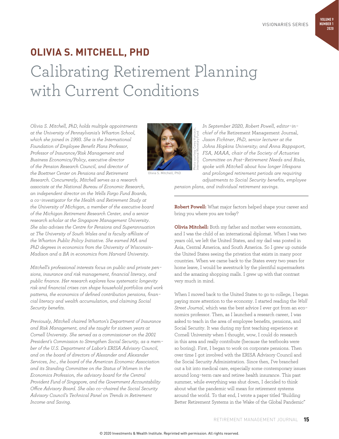## **OLIVIA S. MITCHELL, PHD** Calibrating Retirement Planning with Current Conditions

*Olivia S. Mitchell, PhD, holds multiple appointments at the University of Pennsylvania's Wharton School, which she joined in 1993. She is the International Foundation of Employee Benefit Plans Professor, Professor of Insurance/Risk Management and Business Economics/Policy, executive director of the Pension Research Council, and director of the Boettner Center on Pensions and Retirement Research. Concurrently, Mitchell serves as a research associate at the National Bureau of Economic Research, an independent director on the Wells Fargo Fund Boards, a co-investigator for the Health and Retirement Study at the University of Michigan, a member of the executive board of the Michigan Retirement Research Center, and a senior research scholar at the Singapore Management University. She also advises the Centre for Pensions and Superannuation at The University of South Wales and is faculty affiliate of the Wharton Public Policy Initiative. She earned MA and PhD degrees in economics from the University of Wisconsin– Madison and a BA in economics from Harvard University.* 

*Mitchell's professional interests focus on public and private pensions, insurance and risk management, financial literacy, and public finance. Her research explores how systematic longevity risk and financial crises can shape household portfolios and work patterns, the economics of defined contribution pensions, financial literacy and wealth accumulation, and claiming Social Security benefits.* 

*Previously, Mitchell chaired Wharton's Department of Insurance and Risk Management, and she taught for sixteen years at Cornell University. She served as a commissioner on the 2001 President's Commission to Strengthen Social Security, as a member of the U.S. Department of Labor's ERISA Advisory Council, and on the board of directors of Alexander and Alexander Services, Inc., the board of the American Economic Association and its Standing Committee on the Status of Women in the Economics Profession, the advisory board for the Central Provident Fund of Singapore, and the Government Accountability Office Advisory Board. She also co-chaired the Social Security Advisory Council's Technical Panel on Trends in Retirement Income and Saving.*



Olivia S. Mitchell, PhD

*In September 2020, Robert Powell, editor-inchief of the* Retirement Management Journal, *Jason Fichtner, PhD, senior lecturer at the Johns Hopkins University; and Anna Rappaport, FSA, MAAA, chair of the Society of Actuaries Committee on Post-Retirement Needs and Risks, spoke with Mitchell about how longer lifespans and prolonged retirement periods are requiring adjustments to Social Security benefits, employee*  International Monetary Fund

*pension plans, and individual retirement savings.* 

**Robert Powell:** What major factors helped shape your career and bring you where you are today?

**Olivia Mitchell:** Both my father and mother were economists, and I was the child of an international diplomat. When I was two years old, we left the United States, and my dad was posted in Asia, Central America, and South America. So I grew up outside the United States seeing the privation that exists in many poor countries. When we came back to the States every two years for home leave, I would be awestruck by the plentiful supermarkets and the amazing shopping malls. I grew up with that contrast very much in mind.

When I moved back to the United States to go to college, I began paying more attention to the economy. I started reading the *Wall Street Journal*, which was the best advice I ever got from an economics professor. Then, as I launched a research career, I was asked to teach in the area of employee benefits, pensions, and Social Security. It was during my first teaching experience at Cornell University when I thought, wow, I could do research in this area and really contribute (because the textbooks were so boring). First, I began to work on corporate pensions. Then over time I got involved with the ERISA Advisory Council and the Social Security Administration. Since then, I've branched out a bit into medical care, especially some contemporary issues around long-term care and retiree health insurance. This past summer, while everything was shut down, I decided to think about what the pandemic will mean for retirement systems around the world. To that end, I wrote a paper titled "Building Better Retirement Systems in the Wake of the Global Pandemic"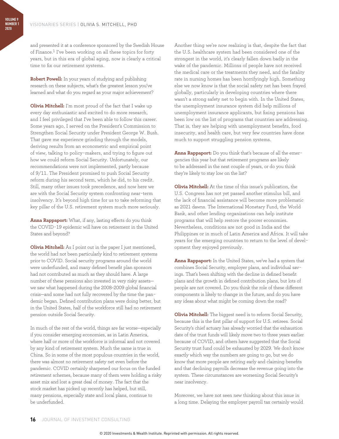and presented it at a conference sponsored by the Swedish House of Finance.<sup>1</sup> I've been working on all these topics for forty years, but in this era of global aging, now is clearly a critical time to fix our retirement systems.

**Robert Powell:** In your years of studying and publishing research on these subjects, what's the greatest lesson you've learned and what do you regard as your major achievement?

**Olivia Mitchell:** I'm most proud of the fact that I wake up every day enthusiastic and excited to do more research, and I feel privileged that I've been able to follow this career. Some years ago, I served on the President's Commission to Strengthen Social Security under President George W. Bush. That gave me experience grinding through the models, deriving results from an econometric and empirical point of view, talking to policy-makers, and trying to figure out how we could reform Social Security. Unfortunately, our recommendations were not implemented, partly because of 9/11. The President promised to push Social Security reform during his second term, which he did, to his credit. Still, many other issues took precedence, and now here we are with the Social Security system confronting near-term insolvency. It's beyond high time for us to take reforming that key pillar of the U.S. retirement system much more seriously.

**Anna Rappaport:** What, if any, lasting effects do you think the COVID-19 epidemic will have on retirement in the United States and beyond?

**Olivia Mitchell:** As I point out in the paper I just mentioned, the world had not been particularly kind to retirement systems prior to COVID. Social security programs around the world were underfunded, and many defined benefit plan sponsors had not contributed as much as they should have. A large number of these pensions also invested in very risky assets we saw what happened during the 2008–2009 global financial crisis—and some had not fully recovered by the time the pandemic began. Defined contribution plans were doing better, but in the United States, half of the workforce still had no retirement pension outside Social Security.

In much of the rest of the world, things are far worse—especially if you consider emerging economies, as in Latin America, where half or more of the workforce is informal and not covered by any kind of retirement system. Much the same is true in China. So in some of the most populous countries in the world, there was almost no retirement safety net even before the pandemic. COVID certainly sharpened our focus on the funded retirement schemes, because many of them were holding a risky asset mix and lost a great deal of money. The fact that the stock market has picked up recently has helped, but still, many pensions, especially state and local plans, continue to be underfunded.

Another thing we're now realizing is that, despite the fact that the U.S. healthcare system had been considered one of the strongest in the world, it's clearly fallen down badly in the wake of the pandemic. Millions of people have not received the medical care or the treatments they need, and the fatality rate in nursing homes has been horrifyingly high. Something else we now know is that the social safety net has been frayed globally, particularly in developing countries where there wasn't a strong safety net to begin with. In the United States, the unemployment insurance system did help millions of unemployment insurance applicants, but fixing pensions has been low on the list of programs that countries are addressing. That is, they are helping with unemployment benefits, food insecurity, and health care, but very few countries have done much to support struggling pension systems.

**Anna Rappaport:** Do you think that's because of all the emergencies this year but that retirement programs are likely to be addressed in the next couple of years, or do you think they're likely to stay low on the list?

**Olivia Mitchell:** At the time of this issue's publication, the U.S. Congress has not yet passed another stimulus bill, and the lack of financial assistance will become more problematic as 2021 dawns. The International Monetary Fund, the World Bank, and other lending organizations can help institute programs that will help restore the poorer economies. Nevertheless, conditions are not good in India and the Philippines or in much of Latin America and Africa. It will take years for the emerging countries to return to the level of development they enjoyed previously.

**Anna Rappaport:** In the United States, we've had a system that combines Social Security, employer plans, and individual savings. That's been shifting with the decline in defined benefit plans and the growth in defined contribution plans, but lots of people are not covered. Do you think the role of these different components is likely to change in the future, and do you have any ideas about what might be coming down the road?

**Olivia Mitchell:** The biggest need is to reform Social Security, because this is the first pillar of support for U.S. retirees. Social Security's chief actuary has already worried that the exhaustion date of the trust funds will likely move two to three years earlier because of COVID, and others have suggested that the Social Security trust fund could be exhausted by 2029. We don't know exactly which way the numbers are going to go, but we do know that more people are retiring early and claiming benefits and that declining payrolls decrease the revenue going into the system. These circumstances are worsening Social Security's near insolvency.

Moreover, we have not seen new thinking about this issue in a long time. Delaying the employer payroll tax certainly would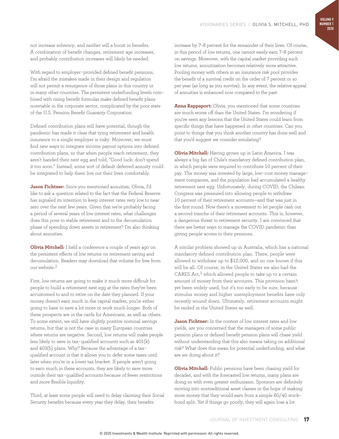not increase solvency, and neither will a boost in benefits. A combination of benefit changes, retirement age increases, and probably contribution increases will likely be needed.

With regard to employer-provided defined benefit pensions, I'm afraid the mistakes made in their design and regulation will not permit a resurgence of those plans in this country or in many other countries. The persistent underfunding levels combined with rising benefit formulas make defined benefit plans nonviable in the corporate sector, complicated by the poor state of the U.S. Pension Benefit Guaranty Corporation.

Defined contribution plans still have potential, though the pandemic has made it clear that tying retirement and health insurance to a single employer is risky. Moreover, we must find new ways to integrate income payout options into defined contribution plans, so that when people reach retirement, they aren't handed their nest egg and told, "Good luck; don't spend it too soon." Instead, some sort of default deferred annuity could be integrated to help them live out their lives comfortably.

**Jason Fichtner:** Since you mentioned annuities, Olivia, I'd like to ask a question related to the fact that the Federal Reserve has signaled its intention to keep interest rates very low to near zero over the next few years. Given that we're probably facing a period of several years of low interest rates, what challenges does this pose to stable retirement and to the decumulation phase of spending down assets in retirement? I'm also thinking about annuities.

**Olivia Mitchell:** I held a conference a couple of years ago on the persistent effects of low returns on retirement saving and decumulation. Readers may download that volume for free from our website<sup>2</sup>

First, low returns are going to make it much more difficult for people to build a retirement nest egg at the rates they've been accustomed to and to retire on the date they planned. If your money doesn't earn much in the capital market, you're either going to have to save a lot more or work much longer. Both of these prospects are in the cards for Americans, as well as others. To some extent, we still have slightly positive nominal savings returns, but that is not the case in many European countries where returns are negative. Second, low returns will make people less likely to save in tax-qualified accounts such as 401(k) and 403(b) plans. Why? Because the advantage of a taxqualified account is that it allows you to defer some taxes until later when you're in a lower tax bracket. If people aren't going to earn much in these accounts, they are likely to save more outside their tax-qualified accounts because of fewer restrictions and more flexible liquidity.

Third, at least some people will need to delay claiming their Social Security benefits because every year they delay, their benefits

increase by 7–8 percent for the remainder of their lives. Of course, in this period of low returns, one cannot easily earn 7–8 percent on savings. Moreover, with the capital market providing such low returns, annuitization becomes relatively more attractive. Pooling money with others in an insurance risk pool provides the benefit of a survival credit on the order of 7 percent or so per year (as long as you survive). In any event, the relative appeal of annuities is enhanced now compared to the past.

**Anna Rappaport:** Olivia, you mentioned that some countries are much worse off than the United States. I'm wondering if you've seen any lessons that the United States could learn from specific things that have happened in other countries. Can you point to things that you think another country has done well and that you'd suggest we consider emulating?

**Olivia Mitchell:** Having grown up in Latin America, I was always a big fan of Chile's mandatory defined contribution plan, in which people were required to contribute 10 percent of their pay. The money was invested by large, low-cost money management companies, and the population had accumulated a healthy retirement nest egg. Unfortunately, during COVID, the Chilean Congress was pressured into allowing people to withdraw 10 percent of their retirement accounts—and that was just in the first round. Now there's a movement to let people cash out a second tranche of their retirement accounts. This is, however, a dangerous threat to retirement security. I am convinced that there are better ways to manage the COVID pandemic than giving people access to their pensions.

A similar problem showed up in Australia, which has a national mandatory defined contribution plan. There, people were allowed to withdraw up to \$12,000, and no one knows if this will be all. Of course, in the United States we also had the CARES Act,3 which allowed people to take up to a certain amount of money from their accounts. This provision hasn't yet been widely used, but it's too early to be sure, because stimulus money and higher unemployment benefits have only recently wound down. Ultimately, retirement accounts might be raided in the United States as well.

**Jason Fichtner:** In the context of low interest rates and low yields, are you concerned that the managers of some public pension plans or defined benefit pension plans will chase yield without understanding that this also means taking on additional risk? What does this mean for potential underfunding, and what are we doing about it?

**Olivia Mitchell:** Public pensions have been chasing yield for decades, and with the forecasted low returns, many plans are doing so with even greater enthusiasm. Sponsors are definitely moving into nontraditional asset classes in the hope of making more money that they would earn from a simple 60/40 stock– bond split. Yet if things go poorly, they will again lose a lot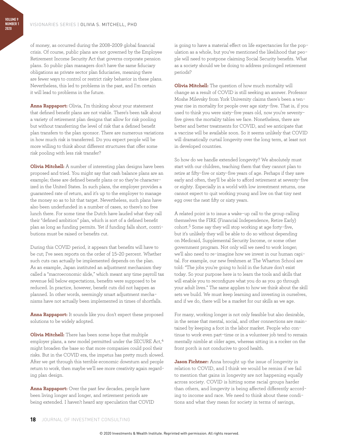of money, as occurred during the 2008–2009 global financial crisis. Of course, public plans are not governed by the Employee Retirement Income Security Act that governs corporate pension plans. So public plan managers don't have the same fiduciary obligations as private sector plan fiduciaries, meaning there are fewer ways to control or restrict risky behavior in these plans. Nevertheless, this led to problems in the past, and I'm certain it will lead to problems in the future.

**Anna Rappaport:** Olivia, I'm thinking about your statement that defined benefit plans are not viable. There's been talk about a variety of retirement plan designs that allow for risk pooling but without transferring the level of risk that a defined benefit plan transfers to the plan sponsor. There are numerous variations in how much risk is transferred. Do you expect people will be more willing to think about different structures that offer some risk pooling with less risk transfer?

**Olivia Mitchell:** A number of interesting plan designs have been proposed and tried. You might say that cash balance plans are an example; these are defined benefit plans or so they're characterized in the United States. In such plans, the employer provides a guaranteed rate of return, and it's up to the employer to manage the money so as to hit that target. Nevertheless, such plans have also been underfunded in a number of cases, so there's no free lunch there. For some time the Dutch have lauded what they call their "defined ambition" plan, which is sort of a defined benefit plan as long as funding permits. Yet if funding falls short, contributions must be raised or benefits cut.

During this COVID period, it appears that benefits will have to be cut; I've seen reports on the order of 15–20 percent. Whether such cuts can actually be implemented depends on the plan. As an example, Japan instituted an adjustment mechanism they called a "macroeconomic slide," which meant any time payroll tax revenue fell below expectations, benefits were supposed to be reduced. In practice, however, benefit cuts did not happen as planned. In other words, seemingly smart adjustment mechanisms have not actually been implemented in times of shortfalls.

**Anna Rappaport:** It sounds like you don't expect these proposed solutions to be widely adopted.

**Olivia Mitchell:** There has been some hope that multiple employer plans, a new model permitted under the SECURE Act,<sup>4</sup> might broaden the base so that more companies could pool their risks. But in the COVID era, the impetus has pretty much slowed. After we get through this terrible economic downturn and people return to work, then maybe we'll see more creativity again regarding plan design.

**Anna Rappaport:** Over the past few decades, people have been living longer and longer, and retirement periods are being extended. I haven't heard any speculation that COVID is going to have a material effect on life expectancies for the population as a whole, but you've mentioned the likelihood that people will need to postpone claiming Social Security benefits. What as a society should we be doing to address prolonged retirement periods?

**Olivia Mitchell:** The question of how much mortality will change as a result of COVID is still seeking an answer. Professor Moshe Milevsky from York University claims there's been a tenyear rise in mortality for people over age sixty-five. That is, if you used to think you were sixty-five years old, now you're seventyfive given the mortality tables we face. Nonetheless, there are better and better treatments for COVID, and we anticipate that a vaccine will be available soon. So it seems unlikely that COVID will dramatically curtail longevity over the long term, at least not in developed countries.

So how do we handle extended longevity? We absolutely must start with our children, teaching them that they cannot plan to retire at fifty-five or sixty-five years of age. Perhaps if they save early and often, they'll be able to afford retirement at seventy-five or eighty. Especially in a world with low investment returns, one cannot expect to quit working young and live on that tiny nest egg over the next fifty or sixty years.

A related point is to issue a wake-up call to the group calling themselves the FIRE (Financial Independence, Retire Early) cohort.5 Some say they will stop working at age forty-five, but it's unlikely they will be able to do so without depending on Medicaid, Supplemental Security Income, or some other government program. Not only will we need to work longer; we'll also need to re-imagine how we invest in our human capital. For example, our new freshmen at The Wharton School are told: "The jobs you're going to hold in the future don't exist today. So your purpose here is to learn the tools and skills that will enable you to reconfigure what you do as you go through your adult lives." The same applies to how we think about the skill sets we build. We must keep learning and investing in ourselves, and if we do, there will be a market for our skills as we age.

For many, working longer is not only feasible but also desirable, in the sense that mental, social, and other connections are maintained by keeping a foot in the labor market. People who continue to work even part-time or in a volunteer job tend to remain mentally nimble at older ages, whereas sitting in a rocker on the front porch is not conducive to good health.

**Jason Fichtner:** Anna brought up the issue of longevity in relation to COVID, and I think we would be remiss if we fail to mention that gains in longevity are not happening equally across society. COVID is hitting some racial groups harder than others, and longevity is being affected differently according to income and race. We need to think about these conditions and what they mean for society in terms of savings,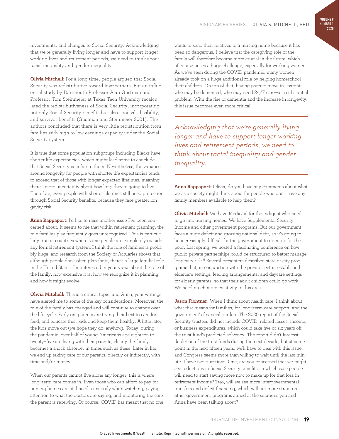investments, and changes to Social Security. Acknowledging that we're generally living longer and have to support longer working lives and retirement periods, we need to think about racial inequality and gender inequality.

**Olivia Mitchell:** For a long time, people argued that Social Security was redistributive toward low-earners. But an influential study by Dartmouth Professor Alan Gustman and Professor Tom Steinmeier at Texas Tech University recalculated the redistributiveness of Social Security, incorporating not only Social Security benefits but also spousal, disability, and survivor benefits (Gustman and Steinmeier 2001). The authors concluded that there is very little redistribution from families with high to low earnings capacity under the Social Security system.

It is true that some population subgroups including Blacks have shorter life expectancies, which might lead some to conclude that Social Security is unfair to them. Nevertheless, the variance around longevity for people with shorter life expectancies tends to exceed that of those with longer expected lifetimes, meaning there's more uncertainty about how long they're going to live. Therefore, even people with shorter lifetimes still need protection through Social Security benefits, because they face greater longevity risk.

**Anna Rappaport:** I'd like to raise another issue I've been concerned about. It seems to me that within retirement planning, the role families play frequently goes unrecognized. This is particularly true in countries where some people are completely outside any formal retirement system. I think the role of families is probably huge, and research from the Society of Actuaries shows that although people don't often plan for it, there's a large familial role in the United States. I'm interested in your views about the role of the family, how extensive it is, how we recognize it in planning, and how it might evolve.

**Olivia Mitchell:** This is a critical topic, and Anna, your writings have alerted me to some of the key considerations. Moreover, the role of the family has changed and will continue to change over the life cycle. Early on, parents are trying their best to care for, feed, and educate their kids and keep them healthy. A little later, the kids move out (we hope they do, anyhow). Today, during the pandemic, over half of young Americans age eighteen to twenty-five are living with their parents; clearly the family becomes a shock absorber in times such as these. Later in life, we end up taking care of our parents, directly or indirectly, with time and/or money.

When our parents cannot live alone any longer, this is where long-term care comes in. Even those who can afford to pay for nursing home care still need somebody who's watching, paying attention to what the doctors are saying, and monitoring the care the parent is receiving. Of course, COVID has meant that no one wants to send their relatives to a nursing home because it has been so dangerous. I believe that the caregiving role of the family will therefore become more crucial in the future, which of course poses a huge challenge, especially for working women. As we've seen during the COVID pandemic, many women already took on a huge additional role by helping homeschool their children. On top of that, having parents move in—parents who may be demented, who may need 24/7 care—is a substantial problem. With the rise of dementia and the increase in longevity, this issue becomes even more critical.

*Acknowledging that we're generally living longer and have to support longer working lives and retirement periods, we need to think about racial inequality and gender inequality.*

**Anna Rappaport:** Olivia, do you have any comments about what we as a society might think about for people who don't have any family members available to help them?

**Olivia Mitchell:** We have Medicaid for the indigent who need to go into nursing homes. We have Supplemental Security Income and other government programs. But our government faces a huge deficit and growing national debt, so it's going to be increasingly difficult for the government to do more for the poor. Last spring, we hosted a fascinating conference on how public–private partnerships could be structured to better manage longevity risk.<sup>6</sup> Several presenters described state or city programs that, in conjunction with the private sector, established eldercare settings, feeding arrangements, and daycare settings for elderly parents, so that their adult children could go work. We need much more creativity in this area.

**Jason Fichtner:** When I think about health care, I think about what that means for families, for long-term care support, and the government's financial burden. The 2020 report of the Social Security trustees did not include COVID-related losses, income, or business expenditures, which could take five or six years off the trust fund's predicted solvency. The report didn't forecast depletion of the trust funds during the next decade, but at some point in the next fifteen years, we'll have to deal with this issue, and Congress seems more than willing to wait until the last minute. I have two questions. One, are you concerned that we might see reductions in Social Security benefits, in which case people will need to start saving more now to make up for that loss in retirement income? Two, will we see more intergovernmental transfers and deficit financing, which will put more strain on other government programs aimed at the solutions you and Anna have been talking about?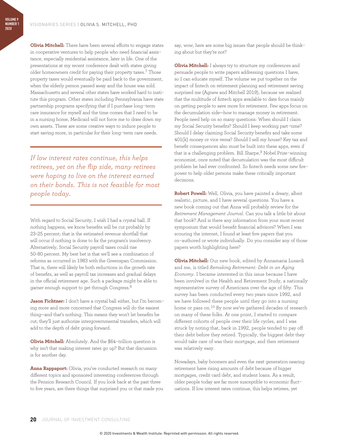**Olivia Mitchell:** There have been several efforts to engage states in cooperative ventures to help people who need financial assistance, especially residential assistance, later in life. One of the presentations at my recent conference dealt with states giving older homeowners credit for paying their property taxes.<sup>7</sup> Those property taxes would eventually be paid back to the government, when the elderly person passed away and the house was sold. Massachusetts and several other states have worked hard to institute this program. Other states including Pennsylvania have state partnership programs specifying that if I purchase long-term care insurance for myself and the time comes that I need to be in a nursing home, Medicaid will not force me to draw down my own assets. These are some creative ways to induce people to start saving more, in particular for their long-term care needs.

*If low interest rates continue, this helps retirees, yet on the flip side, many retirees were hoping to live on the interest earned on their bonds. This is not feasible for most people today.*

With regard to Social Security, I wish I had a crystal ball. If nothing happens, we know benefits will be cut probably by 23–25 percent; that is the estimated revenue shortfall that will occur if nothing is done to fix the program's insolvency. Alternatively, Social Security payroll taxes could rise 50–80 percent. My best bet is that we'll see a combination of reforms as occurred in 1983 with the Greenspan Commission. That is, there will likely be both reductions in the growth rate of benefits, as well as payroll tax increases and gradual delays in the official retirement age. Such a package might be able to garner enough support to get through Congress.8

**Jason Fichtner:** I don't have a crystal ball either, but I'm becoming more and more concerned that Congress will do the easiest thing—and that's nothing. This means they won't let benefits be cut; they'll just authorize intergovernmental transfers, which will add to the depth of debt going forward.

**Olivia Mitchell:** Absolutely. And the \$64-trillion question is why isn't that making interest rates go up? But that discussion is for another day.

**Anna Rappaport:** Olivia, you've conducted research on many different topics and sponsored interesting conferences through the Pension Research Council. If you look back at the past three to five years, are there things that surprised you or that made you say, wow, here are some big issues that people should be thinking about but they're not?

**Olivia Mitchell:** I always try to structure my conferences and persuade people to write papers addressing questions I have, so I can educate myself. The volume we put together on the impact of fintech on retirement planning and retirement saving surprised me (Agnew and Mitchell 2019), because we realized that the multitude of fintech apps available to date focus mainly on getting people to save more for retirement. Few apps focus on the decumulation side—how to manage money in retirement. People need help on so many questions: When should I claim my Social Security benefits? Should I keep working part-time? Should I delay claiming Social Security benefits and take some 401(k) money or vice versa? Should I sell my house? Key tax and benefit consequences also must be built into these apps, even if that is a challenging problem. Bill Sharpe,<sup>9</sup> Nobel Prize-winning economist, once noted that decumulation was the most difficult problem he had ever confronted. So fintech needs some new firepower to help older persons make these critically important decisions.

**Robert Powell:** Well, Olivia, you have painted a dreary, albeit realistic, picture, and I have several questions. You have a new book coming out that Anna will probably review for the *Retirement Management Journal*. Can you talk a little bit about that book? And is there any information from your most recent symposium that would benefit financial advisors? When I was scouring the internet, I found at least five papers that you co-authored or wrote individually. Do you consider any of those papers worth highlighting here?

**Olivia Mitchell:** Our new book, edited by Annamaria Lusardi and me, is titled *Remaking Retirement: Debt in an Aging Economy*. I became interested in this issue because I have been involved in the Health and Retirement Study, a nationally representative survey of Americans over the age of fifty. This survey has been conducted every two years since 1992, and we have followed these people until they go into a nursing home or pass on.10 By now we've gathered decades of research on many of these folks. At one point, I started to compare different cohorts of people over their life cycles, and I was struck by noting that, back in 1992, people tended to pay off their debt before they retired. Typically, the biggest debt they would take care of was their mortgage, and then retirement was relatively easy.

Nowadays, baby boomers and even the next generation nearing retirement have rising amounts of debt because of bigger mortgages, credit card debt, and student loans. As a result, older people today are far more susceptible to economic fluctuations. If low interest rates continue, this helps retirees, yet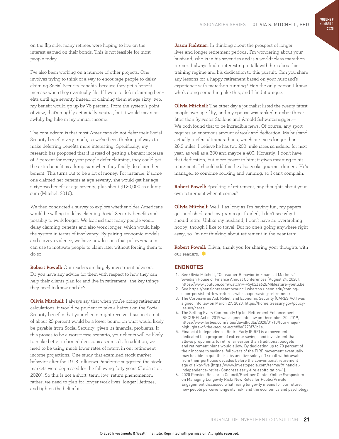on the flip side, many retirees were hoping to live on the interest earned on their bonds. This is not feasible for most people today.

I've also been working on a number of other projects. One involves trying to think of a way to encourage people to delay claiming Social Security benefits, because they get a benefit increase when they eventually file. If I were to defer claiming benefits until age seventy instead of claiming them at age sixty-two, my benefit would go up by 76 percent. From the system's point of view, that's roughly actuarially neutral, but it would mean an awfully big hike in my annual income.

The conundrum is that most Americans do not defer their Social Security benefits very much, so we've been thinking of ways to make deferring benefits more interesting. Specifically, my research has proposed that if instead of getting a benefit increase of 7 percent for every year people defer claiming, they could get the extra benefit as a lump sum when they finally do claim their benefit. This turns out to be a lot of money: For instance, if someone claimed her benefits at age seventy, she would get her age sixty-two benefit at age seventy, plus about \$120,000 as a lump sum (Mitchell 2016).

We then conducted a survey to explore whether older Americans would be willing to delay claiming Social Security benefits and possibly to work longer. We learned that many people would delay claiming benefits and also work longer, which would help the system in terms of insolvency. By pairing economic models and survey evidence, we have new lessons that policy-makers can use to motivate people to claim later without forcing them to do so.

**Robert Powell:** Our readers are largely investment advisors. Do you have any advice for them with respect to how they can help their clients plan for and live in retirement—the key things they need to know and do?

**Olivia Mitchell:** I always say that when you're doing retirement calculations, it would be prudent to take a haircut on the Social Security benefits that your clients might receive. I suspect a cut of about 25 percent would be a lower bound on what would likely be payable from Social Security, given its financial problems. If this proves to be a worst-case scenario, your clients will be likely to make better informed decisions as a result. In addition, we need to be using much lower rates of return in our retirementincome projections. One study that examined stock market behavior after the 1918 Influenza Pandemic suggested the stock markets were depressed for the following forty years (Jordà et al. 2020). So this is not a short-term, low-return phenomenon; rather, we need to plan for longer work lives, longer lifetimes, and tighten the belt a bit.

**Jason Fichtner:** In thinking about the prospect of longer lives and longer retirement periods, I'm wondering about your husband, who is in his seventies and is a world-class marathon runner. I always find it interesting to talk with him about his training regime and his dedication to this pursuit. Can you share any lessons for a happy retirement based on your husband's experience with marathon running? He's the only person I know who's doing something like this, and I find it unique.

**Olivia Mitchell:** The other day a journalist listed the twenty fittest people over age fifty, and my spouse was ranked number three: fitter than Sylvester Stallone and Arnold Schwarzenegger.11 We both found that to be incredible news. Of course, any sport requires an enormous amount of work and dedication. My husband actually prefers ultramarathons, which are races longer than 26.2 miles. I believe he has two 200-mile races scheduled for next year, as well as a 300 and maybe a 400. Honestly, I don't have that dedication, but more power to him; it gives meaning to his retirement. I should add that he also cooks gourmet dinners. He's managed to combine cooking and running, so I can't complain.

**Robert Powell:** Speaking of retirement, any thoughts about your own retirement when it comes?

**Olivia Mitchell:** Well, I as long as I'm having fun, my papers get published, and my grants get funded, I don't see why I should retire. Unlike my husband, I don't have an overarching hobby, though I like to travel. But no one's going anywhere right away, so I'm not thinking about retirement in the near term.

**Robert Powell:** Olivia, thank you for sharing your thoughts with our readers.

### **ENDNOTES**

- 1. See Olivia Mitchell, "Consumer Behavior in Financial Markets," Swedish House of Finance Annual Conferences (August 24, 2020), https://www.youtube.com/watch?v=v5yk2Za6ZEM&feature=youtu.be.
- 2. See https://pensionresearchcouncil.wharton.upenn.edu/comingsoon-persistent-low-returns-will-shape-saving-retirement/.
- 3. The Coronavirus Aid, Relief, and Economic Security (CARES Act) was signed into law on March 27, 2020, https://home.treasury.gov/policyissues/cares.
- 4. The Setting Every Community Up for Retirement Enhancement (SECURE) Act of 2019 was signed into law on December 20, 2019, https://www.forbes.com/sites/davidkudla/2020/01/10/four-majorhighlights-of-the-secure-act/#8e8778f76b1e.
- 5. Financial Independence, Retire Early (FIRE) is a movement dedicated to a program of extreme savings and investment that allows proponents to retire far earlier than traditional budgets and retirement plans would allow. By dedicating up to 70 percent of their income to savings, followers of the FIRE movement eventually may be able to quit their jobs and live solely off small withdrawals from their portfolios decades before the conventional retirement age of sixty-five (https://www.investopedia.com/terms/f/financialindependence-retire- Congress early-fire.asp#citation-1).
- 6. 2020 Pension Research Council/Boettner Center Online Symposium on Managing Longevity Risk: New Roles for Public/Private Engagement discussed what rising longevity means for our future, how people perceive longevity risk, and the economics and psychology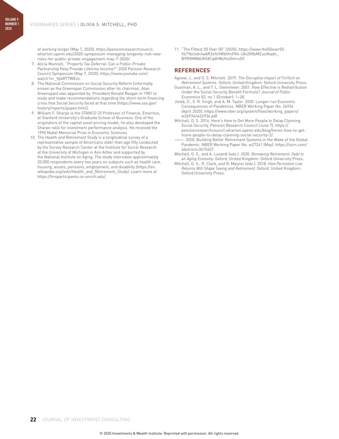of working longer (May 7, 2020), https://pensionresearchcouncil. wharton.upenn.edu/2020-symposium-managing-longevity-risk-newroles-for-public-private-engagement-may-7-2020/.

- 7. Alicia Munnell, "Property Tax Deferral: Can a Public-Private Partnership Help Provide Lifetime Income?" 2020 Pension Research Council Symposium (May 7, 2020), https://www.youtube.com/ watch?v=\_YpbRT7W8Jo.
- 8. The National Commission on Social Security Reform (informally known as the Greenspan Commission after its chairman, Alan Greenspan) was appointed by President Ronald Reagan in 1981 to study and make recommendations regarding the short-term financing crisis that Social Security faced at that time (https://www.ssa.gov/ history/reports/gspan.html).
- 9. William F. Sharpe is the STANCO 25 Professor of Finance, Emeritus, at Stanford University's Graduate School of Business. One of the originators of the capital asset pricing model, he also developed the Sharpe ratio for investment performance analysis. He received the 1990 Nobel Memorial Prize in Economic Sciences.
- 10. The Health and Retirement Study is a longitudinal survey of a representative sample of Americans older than age fifty conducted by the Survey Research Center at the Institute for Social Research at the University of Michigan in Ann Arbor and supported by the National Institute on Aging. The study interviews approximately 20,000 respondents every two years on subjects such as health care, housing, assets, pensions, employment, and disability (https://en. wikipedia.org/wiki/Health\_and\_Retirement\_Study). Learn more at https://hrsparticipants.isr.umich.edu/.

11. "The Fittest 50 Over 50" (2020), https://www.the50over50. fit/?fbclid=IwAR3xYoYWbVfnFKh-Uki2XRyMZuoiKadn\_ B9RXMMbUKfdCqdhWyHst5mruGY.

#### **REFERENCES**

- Agnew, J., and O. S. Mitchell. 2019. *The Disruptive Impact of FinTech on Retirement Systems.* Oxford, United Kingdom: Oxford University Press.
- Gustman, A. L., and T. L. Steinmeier. 2001. How Effective is Redistribution Under the Social Security Benefit Formula? *Journal of Public Economics* 82, no.1 (October): 1–28.
- Jordà, Ò., S. R. Singh, and A. M. Taylor. 2020. Longer-run Economic Consequences of Pandemics. NBER Working Paper No. 26934 (April 2020). https://www.nber.org/system/files/working\_papers/ w26934/w26934.pdf.
- Mitchell, O. S. 2016. Here's How to Get More People to Delay Claiming Social Security. Pension Research Council (June 7), https:// pensionresearchcouncil.wharton.upenn.edu/blog/heres-how-to-getmore-people-to-delay-claiming-social-security-2/.
- 2020. Building Better Retirement Systems in the Wake of the Global Pandemic. NBER Working Paper No. w27261 (May). https://ssrn.com/ abstract=3615457.
- Mitchell, O. S., and A. Lusardi (eds.). 2020. *Remaking Retirement: Debt in an Aging Economy.* Oxford, United Kingdom: Oxford University Press.
- Mitchell, O. S., R. Clark, and R. Maurer (eds.). 2018. *How Persistent Low Returns Will Shape Saving and Retirement.* Oxford, United Kingdom: Oxford University Press.